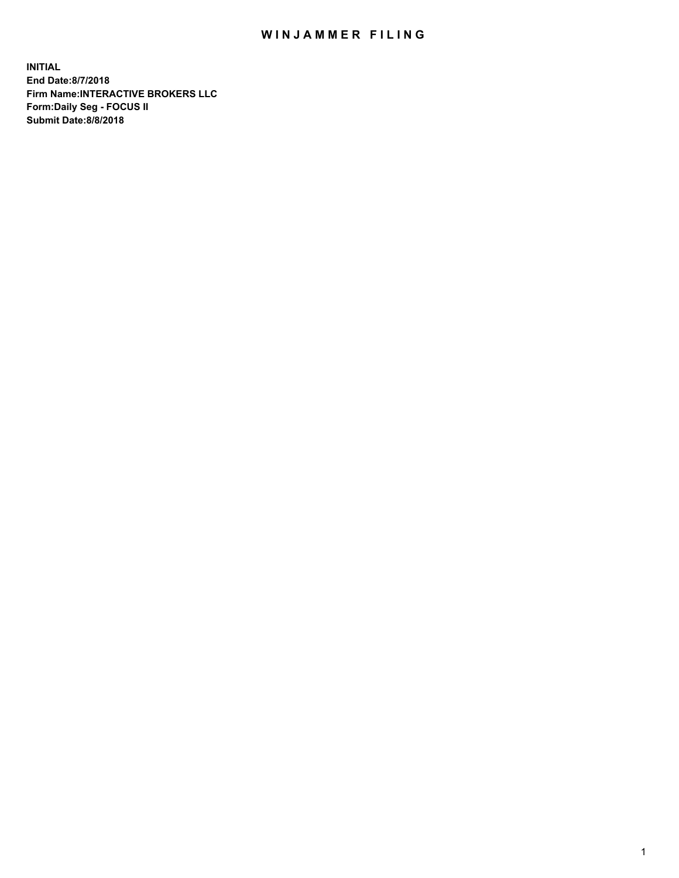## WIN JAMMER FILING

**INITIAL End Date:8/7/2018 Firm Name:INTERACTIVE BROKERS LLC Form:Daily Seg - FOCUS II Submit Date:8/8/2018**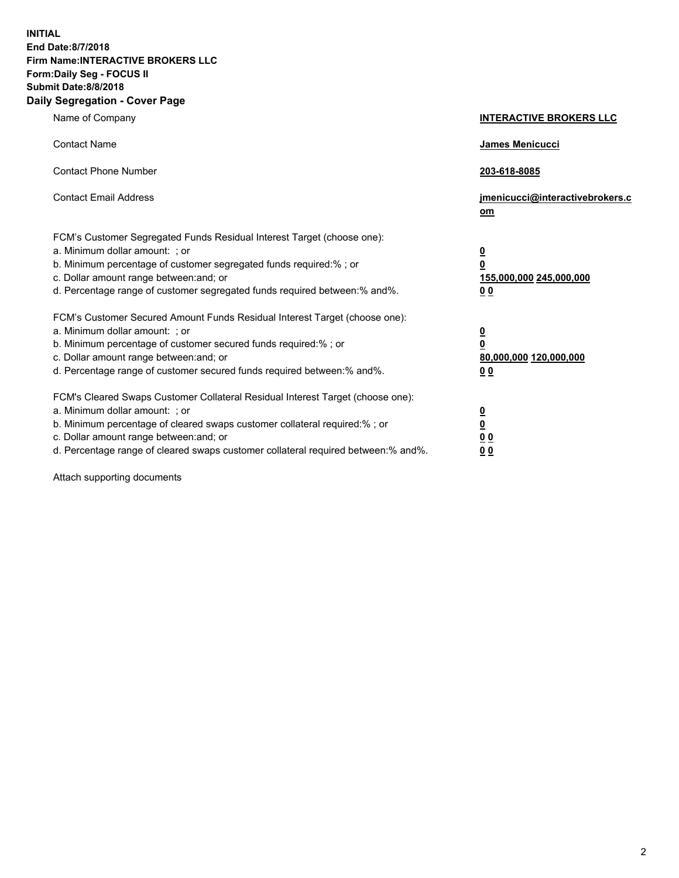**INITIAL End Date:8/7/2018 Firm Name:INTERACTIVE BROKERS LLC Form:Daily Seg - FOCUS II Submit Date:8/8/2018 Daily Segregation - Cover Page**

| Name of Company                                                                                                                                                                                                                                                                                                                | <b>INTERACTIVE BROKERS LLC</b>                                                                  |
|--------------------------------------------------------------------------------------------------------------------------------------------------------------------------------------------------------------------------------------------------------------------------------------------------------------------------------|-------------------------------------------------------------------------------------------------|
| <b>Contact Name</b>                                                                                                                                                                                                                                                                                                            | James Menicucci                                                                                 |
| <b>Contact Phone Number</b>                                                                                                                                                                                                                                                                                                    | 203-618-8085                                                                                    |
| <b>Contact Email Address</b>                                                                                                                                                                                                                                                                                                   | jmenicucci@interactivebrokers.c<br>om                                                           |
| FCM's Customer Segregated Funds Residual Interest Target (choose one):<br>a. Minimum dollar amount: ; or<br>b. Minimum percentage of customer segregated funds required:%; or<br>c. Dollar amount range between: and; or<br>d. Percentage range of customer segregated funds required between: % and %.                        | $\overline{\mathbf{0}}$<br>$\overline{\mathbf{0}}$<br>155,000,000 245,000,000<br>0 <sub>0</sub> |
| FCM's Customer Secured Amount Funds Residual Interest Target (choose one):<br>a. Minimum dollar amount: : or<br>b. Minimum percentage of customer secured funds required:%; or<br>c. Dollar amount range between: and; or<br>d. Percentage range of customer secured funds required between:% and%.                            | $\overline{\mathbf{0}}$<br>0<br>80,000,000 120,000,000<br>0 <sub>0</sub>                        |
| FCM's Cleared Swaps Customer Collateral Residual Interest Target (choose one):<br>a. Minimum dollar amount: ; or<br>b. Minimum percentage of cleared swaps customer collateral required:% ; or<br>c. Dollar amount range between: and; or<br>d. Percentage range of cleared swaps customer collateral required between:% and%. | $\frac{0}{0}$<br>0 <sub>0</sub><br>0 <sub>0</sub>                                               |

Attach supporting documents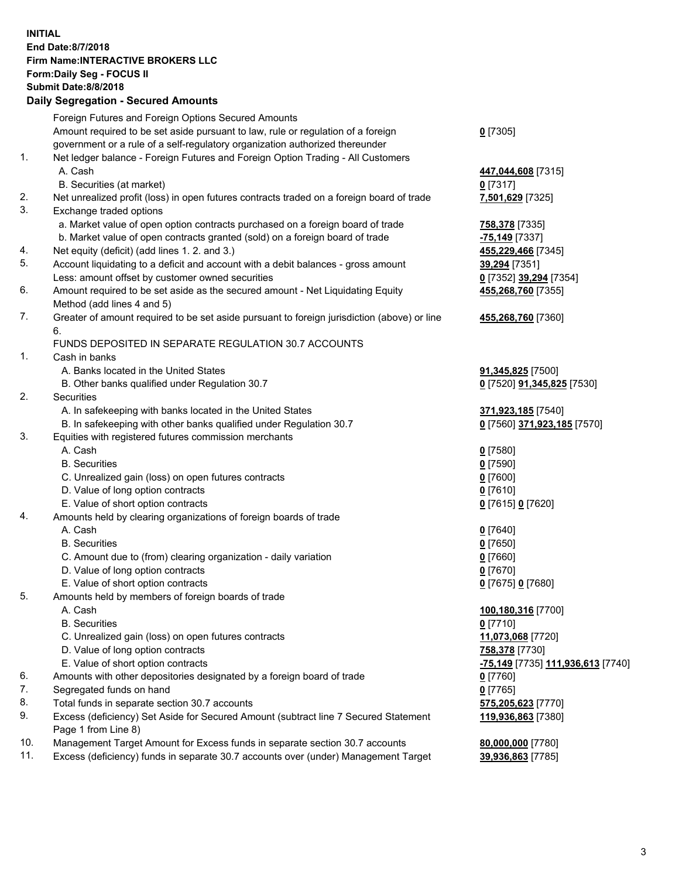## **INITIAL End Date:8/7/2018 Firm Name:INTERACTIVE BROKERS LLC Form:Daily Seg - FOCUS II Submit Date:8/8/2018 Daily Segregation - Secured Amounts**

|     | 2011, Ocglegation - Oceaned Anioanto                                                                                                                              |                                                |
|-----|-------------------------------------------------------------------------------------------------------------------------------------------------------------------|------------------------------------------------|
|     | Foreign Futures and Foreign Options Secured Amounts                                                                                                               |                                                |
|     | Amount required to be set aside pursuant to law, rule or regulation of a foreign                                                                                  | $0$ [7305]                                     |
|     | government or a rule of a self-regulatory organization authorized thereunder                                                                                      |                                                |
| 1.  | Net ledger balance - Foreign Futures and Foreign Option Trading - All Customers                                                                                   |                                                |
|     | A. Cash                                                                                                                                                           | 447,044,608 [7315]                             |
|     | B. Securities (at market)                                                                                                                                         | 0 [7317]                                       |
| 2.  | Net unrealized profit (loss) in open futures contracts traded on a foreign board of trade                                                                         | 7,501,629 [7325]                               |
| 3.  | Exchange traded options                                                                                                                                           |                                                |
|     | a. Market value of open option contracts purchased on a foreign board of trade                                                                                    | 758,378 [7335]                                 |
|     | b. Market value of open contracts granted (sold) on a foreign board of trade                                                                                      | -75,149 [7337]                                 |
| 4.  | Net equity (deficit) (add lines 1. 2. and 3.)                                                                                                                     | 455,229,466 [7345]                             |
| 5.  | Account liquidating to a deficit and account with a debit balances - gross amount                                                                                 | 39,294 [7351]                                  |
|     | Less: amount offset by customer owned securities                                                                                                                  | 0 [7352] 39,294 [7354]                         |
| 6.  | Amount required to be set aside as the secured amount - Net Liquidating Equity                                                                                    | 455,268,760 [7355]                             |
|     | Method (add lines 4 and 5)                                                                                                                                        |                                                |
| 7.  | Greater of amount required to be set aside pursuant to foreign jurisdiction (above) or line                                                                       | 455,268,760 [7360]                             |
|     | 6.                                                                                                                                                                |                                                |
|     | FUNDS DEPOSITED IN SEPARATE REGULATION 30.7 ACCOUNTS                                                                                                              |                                                |
| 1.  | Cash in banks                                                                                                                                                     |                                                |
|     | A. Banks located in the United States                                                                                                                             | 91,345,825 [7500]                              |
|     | B. Other banks qualified under Regulation 30.7                                                                                                                    | 0 [7520] 91,345,825 [7530]                     |
| 2.  | Securities                                                                                                                                                        |                                                |
|     | A. In safekeeping with banks located in the United States                                                                                                         | 371,923,185 [7540]                             |
|     | B. In safekeeping with other banks qualified under Regulation 30.7                                                                                                | 0 [7560] 371,923,185 [7570]                    |
| 3.  | Equities with registered futures commission merchants                                                                                                             |                                                |
|     | A. Cash                                                                                                                                                           | $0$ [7580]                                     |
|     | <b>B.</b> Securities                                                                                                                                              | $0$ [7590]                                     |
|     | C. Unrealized gain (loss) on open futures contracts                                                                                                               | $0$ [7600]                                     |
|     | D. Value of long option contracts                                                                                                                                 | $0$ [7610]                                     |
|     | E. Value of short option contracts                                                                                                                                | 0 [7615] 0 [7620]                              |
| 4.  | Amounts held by clearing organizations of foreign boards of trade                                                                                                 |                                                |
|     | A. Cash                                                                                                                                                           | $0$ [7640]                                     |
|     | <b>B.</b> Securities                                                                                                                                              | $0$ [7650]                                     |
|     | C. Amount due to (from) clearing organization - daily variation                                                                                                   | $0$ [7660]                                     |
|     | D. Value of long option contracts                                                                                                                                 | $0$ [7670]                                     |
|     | E. Value of short option contracts                                                                                                                                | 0 [7675] 0 [7680]                              |
| 5.  | Amounts held by members of foreign boards of trade                                                                                                                |                                                |
|     | A. Cash                                                                                                                                                           | 100,180,316 [7700]                             |
|     | <b>B.</b> Securities                                                                                                                                              | $0$ [7710]                                     |
|     | C. Unrealized gain (loss) on open futures contracts                                                                                                               | 11,073,068 [7720]                              |
|     | D. Value of long option contracts                                                                                                                                 | 758,378 [7730]                                 |
|     | E. Value of short option contracts                                                                                                                                | <mark>-75,149</mark> [7735] 111,936,613 [7740] |
| 6.  | Amounts with other depositories designated by a foreign board of trade                                                                                            | 0 [7760]                                       |
| 7.  | Segregated funds on hand                                                                                                                                          | $0$ [7765]                                     |
| 8.  | Total funds in separate section 30.7 accounts                                                                                                                     | 575,205,623 [7770]                             |
| 9.  | Excess (deficiency) Set Aside for Secured Amount (subtract line 7 Secured Statement<br>Page 1 from Line 8)                                                        | 119,936,863 [7380]                             |
| 10. |                                                                                                                                                                   |                                                |
| 11. | Management Target Amount for Excess funds in separate section 30.7 accounts<br>Excess (deficiency) funds in separate 30.7 accounts over (under) Management Target | 80,000,000 [7780]                              |
|     |                                                                                                                                                                   | 39,936,863 [7785]                              |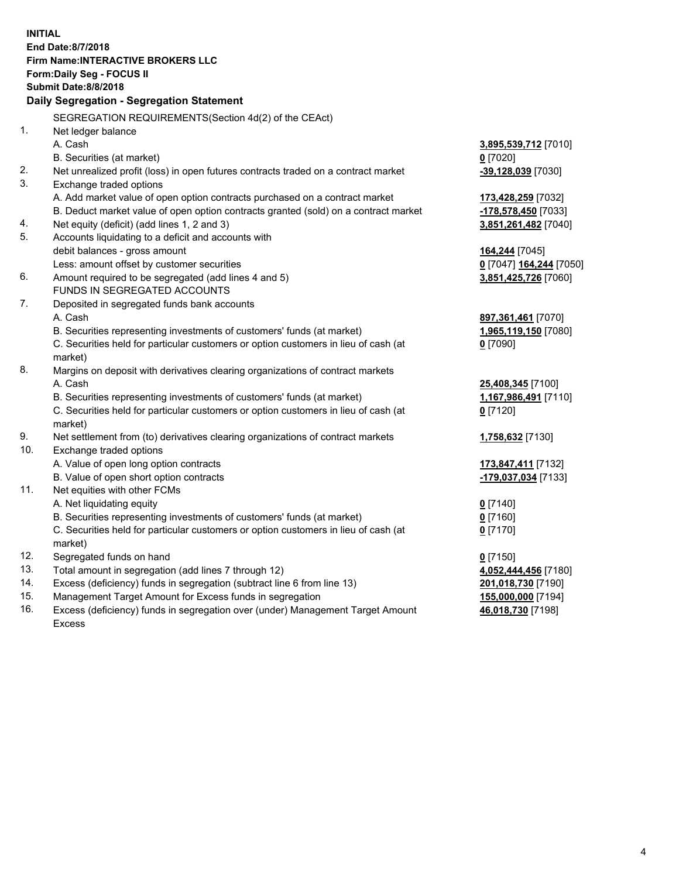**INITIAL End Date:8/7/2018 Firm Name:INTERACTIVE BROKERS LLC Form:Daily Seg - FOCUS II Submit Date:8/8/2018 Daily Segregation - Segregation Statement** SEGREGATION REQUIREMENTS(Section 4d(2) of the CEAct) 1. Net ledger balance A. Cash **3,895,539,712** [7010] B. Securities (at market) **0** [7020] 2. Net unrealized profit (loss) in open futures contracts traded on a contract market **-39,128,039** [7030] 3. Exchange traded options A. Add market value of open option contracts purchased on a contract market **173,428,259** [7032] B. Deduct market value of open option contracts granted (sold) on a contract market **-178,578,450** [7033] 4. Net equity (deficit) (add lines 1, 2 and 3) **3,851,261,482** [7040] 5. Accounts liquidating to a deficit and accounts with debit balances - gross amount **164,244** [7045] Less: amount offset by customer securities **0** [7047] **164,244** [7050] 6. Amount required to be segregated (add lines 4 and 5) **3,851,425,726** [7060] FUNDS IN SEGREGATED ACCOUNTS 7. Deposited in segregated funds bank accounts A. Cash **897,361,461** [7070] B. Securities representing investments of customers' funds (at market) **1,965,119,150** [7080] C. Securities held for particular customers or option customers in lieu of cash (at market) **0** [7090] 8. Margins on deposit with derivatives clearing organizations of contract markets A. Cash **25,408,345** [7100] B. Securities representing investments of customers' funds (at market) **1,167,986,491** [7110] C. Securities held for particular customers or option customers in lieu of cash (at market) **0** [7120] 9. Net settlement from (to) derivatives clearing organizations of contract markets **1,758,632** [7130] 10. Exchange traded options A. Value of open long option contracts **173,847,411** [7132] B. Value of open short option contracts **-179,037,034** [7133] 11. Net equities with other FCMs A. Net liquidating equity **0** [7140] B. Securities representing investments of customers' funds (at market) **0** [7160] C. Securities held for particular customers or option customers in lieu of cash (at market) **0** [7170] 12. Segregated funds on hand **0** [7150] 13. Total amount in segregation (add lines 7 through 12) **4,052,444,456** [7180] 14. Excess (deficiency) funds in segregation (subtract line 6 from line 13) **201,018,730** [7190] 15. Management Target Amount for Excess funds in segregation **155,000,000** [7194] 16. Excess (deficiency) funds in segregation over (under) Management Target Amount **46,018,730** [7198]

Excess